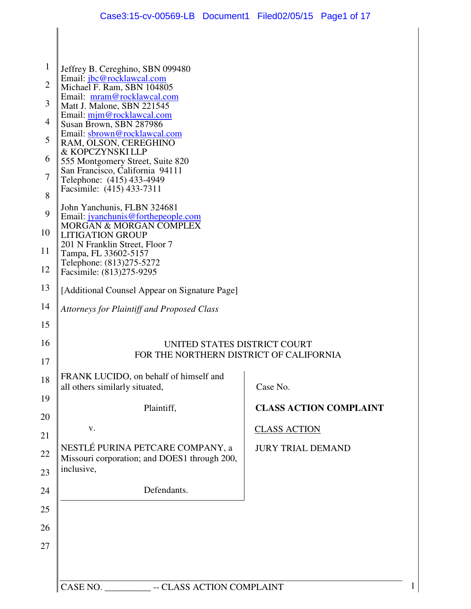| $\mathbf{1}$         | Jeffrey B. Cereghino, SBN 099480                                                 |                               |
|----------------------|----------------------------------------------------------------------------------|-------------------------------|
| $\overline{2}$       | Email: jbc@rocklawcal.com<br>Michael F. Ram, SBN 104805                          |                               |
| 3                    | Email: mram@rocklawcal.com<br>Matt J. Malone, SBN 221545                         |                               |
| 4                    | Email: mim@rocklawcal.com<br>Susan Brown, SBN 287986                             |                               |
| 5                    | Email: sbrown@rocklawcal.com                                                     |                               |
|                      | RAM, OLSON, CEREGHINO<br>& KOPCZYNSKI LLP                                        |                               |
| 6<br>$\tau$          | 555 Montgomery Street, Suite 820<br>San Francisco, California 94111              |                               |
|                      | Telephone: (415) 433-4949<br>Facsimile: (415) 433-7311                           |                               |
| 8                    | John Yanchunis, FLBN 324681                                                      |                               |
| 9                    | Email: jyanchunis@forthepeople.com                                               |                               |
| 10                   | <b>MORGAN &amp; MORGAN COMPLEX</b><br><b>LITIGATION GROUP</b>                    |                               |
| 11                   | 201 N Franklin Street, Floor 7<br>Tampa, FL 33602-5157                           |                               |
| 12                   | Telephone: (813)275-5272<br>Facsimile: (813)275-9295                             |                               |
| 13                   | [Additional Counsel Appear on Signature Page]                                    |                               |
| 14                   | <b>Attorneys for Plaintiff and Proposed Class</b>                                |                               |
|                      |                                                                                  |                               |
| 16                   | UNITED STATES DISTRICT COURT                                                     |                               |
|                      | FOR THE NORTHERN DISTRICT OF CALIFORNIA                                          |                               |
| 18                   | FRANK LUCIDO, on behalf of himself and                                           |                               |
|                      | all others similarly situated,                                                   | Case No.                      |
|                      | Plaintiff,                                                                       | <b>CLASS ACTION COMPLAINT</b> |
|                      | V.                                                                               | <b>CLASS ACTION</b>           |
|                      |                                                                                  | <b>JURY TRIAL DEMAND</b>      |
|                      |                                                                                  |                               |
|                      | NESTLÉ PURINA PETCARE COMPANY, a<br>Missouri corporation; and DOES1 through 200, |                               |
|                      | inclusive,                                                                       |                               |
|                      | Defendants.                                                                      |                               |
| 22<br>23<br>24<br>25 |                                                                                  |                               |
| 26                   |                                                                                  |                               |
|                      |                                                                                  |                               |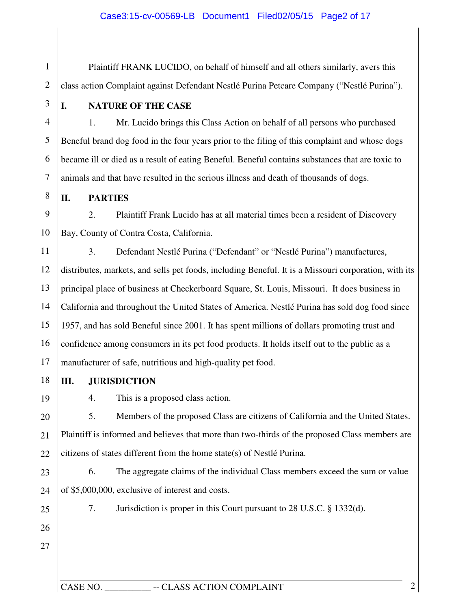1 2 3 4 5 6 7 8 9 10 11 12 13 14 15 16 17 18 19 20 21 22 23 24 25 26 27 Plaintiff FRANK LUCIDO, on behalf of himself and all others similarly, avers this class action Complaint against Defendant Nestlé Purina Petcare Company ("Nestlé Purina"). **I. NATURE OF THE CASE**  1. Mr. Lucido brings this Class Action on behalf of all persons who purchased Beneful brand dog food in the four years prior to the filing of this complaint and whose dogs became ill or died as a result of eating Beneful. Beneful contains substances that are toxic to animals and that have resulted in the serious illness and death of thousands of dogs. **II. PARTIES**  2. Plaintiff Frank Lucido has at all material times been a resident of Discovery Bay, County of Contra Costa, California. 3. Defendant Nestlé Purina ("Defendant" or "Nestlé Purina") manufactures, distributes, markets, and sells pet foods, including Beneful. It is a Missouri corporation, with its principal place of business at Checkerboard Square, St. Louis, Missouri. It does business in California and throughout the United States of America. Nestlé Purina has sold dog food since 1957, and has sold Beneful since 2001. It has spent millions of dollars promoting trust and confidence among consumers in its pet food products. It holds itself out to the public as a manufacturer of safe, nutritious and high-quality pet food. **III. JURISDICTION**  4. This is a proposed class action. 5. Members of the proposed Class are citizens of California and the United States. Plaintiff is informed and believes that more than two-thirds of the proposed Class members are citizens of states different from the home state(s) of Nestlé Purina. 6. The aggregate claims of the individual Class members exceed the sum or value of \$5,000,000, exclusive of interest and costs. 7. Jurisdiction is proper in this Court pursuant to 28 U.S.C. § 1332(d).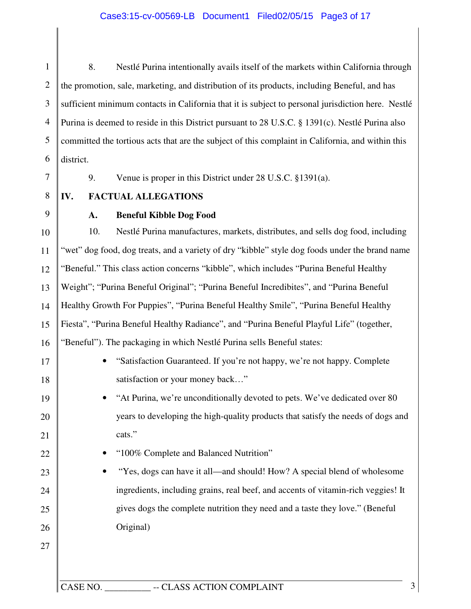### Case3:15-cv-00569-LB Document1 Filed02/05/15 Page3 of 17

1 2 3 4 5 6 8. Nestlé Purina intentionally avails itself of the markets within California through the promotion, sale, marketing, and distribution of its products, including Beneful, and has sufficient minimum contacts in California that it is subject to personal jurisdiction here. Nestlé Purina is deemed to reside in this District pursuant to 28 U.S.C. § 1391(c). Nestlé Purina also committed the tortious acts that are the subject of this complaint in California, and within this district.

7

9. Venue is proper in this District under 28 U.S.C. §1391(a).

8 **IV. FACTUAL ALLEGATIONS** 

9

17

18

19

20

21

22

23

24

25

26

27

### **A. Beneful Kibble Dog Food**

10 11 12 13 14 15 16 10. Nestlé Purina manufactures, markets, distributes, and sells dog food, including "wet" dog food, dog treats, and a variety of dry "kibble" style dog foods under the brand name "Beneful." This class action concerns "kibble", which includes "Purina Beneful Healthy Weight"; "Purina Beneful Original"; "Purina Beneful Incredibites", and "Purina Beneful Healthy Growth For Puppies", "Purina Beneful Healthy Smile", "Purina Beneful Healthy Fiesta", "Purina Beneful Healthy Radiance", and "Purina Beneful Playful Life" (together, "Beneful"). The packaging in which Nestlé Purina sells Beneful states:

- "Satisfaction Guaranteed. If you're not happy, we're not happy. Complete satisfaction or your money back…"
- "At Purina, we're unconditionally devoted to pets. We've dedicated over 80 years to developing the high-quality products that satisfy the needs of dogs and cats."
	- "100% Complete and Balanced Nutrition"
- "Yes, dogs can have it all—and should! How? A special blend of wholesome ingredients, including grains, real beef, and accents of vitamin-rich veggies! It gives dogs the complete nutrition they need and a taste they love." (Beneful Original)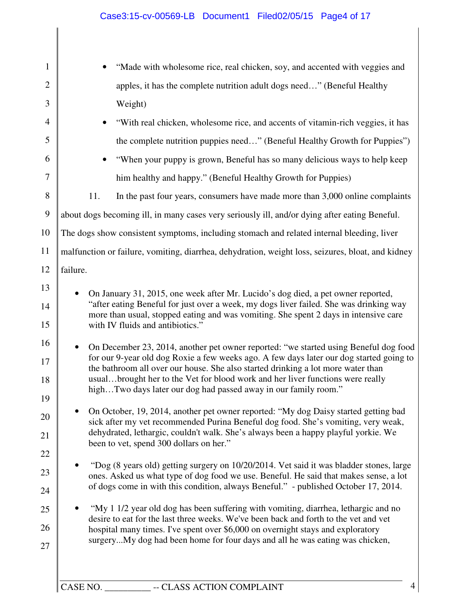|           | "Made with wholesome rice, real chicken, soy, and accented with veggies and                                                                                                                                                                                                                                                                                                                                              |
|-----------|--------------------------------------------------------------------------------------------------------------------------------------------------------------------------------------------------------------------------------------------------------------------------------------------------------------------------------------------------------------------------------------------------------------------------|
|           | apples, it has the complete nutrition adult dogs need" (Beneful Healthy                                                                                                                                                                                                                                                                                                                                                  |
|           | Weight)                                                                                                                                                                                                                                                                                                                                                                                                                  |
|           | "With real chicken, wholesome rice, and accents of vitamin-rich veggies, it has                                                                                                                                                                                                                                                                                                                                          |
|           | the complete nutrition puppies need" (Beneful Healthy Growth for Puppies")                                                                                                                                                                                                                                                                                                                                               |
|           | "When your puppy is grown, Beneful has so many delicious ways to help keep                                                                                                                                                                                                                                                                                                                                               |
|           | him healthy and happy." (Beneful Healthy Growth for Puppies)                                                                                                                                                                                                                                                                                                                                                             |
|           | In the past four years, consumers have made more than 3,000 online complaints<br>11.                                                                                                                                                                                                                                                                                                                                     |
|           | about dogs becoming ill, in many cases very seriously ill, and/or dying after eating Beneful.                                                                                                                                                                                                                                                                                                                            |
|           | The dogs show consistent symptoms, including stomach and related internal bleeding, liver                                                                                                                                                                                                                                                                                                                                |
|           | malfunction or failure, vomiting, diarrhea, dehydration, weight loss, seizures, bloat, and kidney                                                                                                                                                                                                                                                                                                                        |
| failure.  |                                                                                                                                                                                                                                                                                                                                                                                                                          |
| $\bullet$ | On January 31, 2015, one week after Mr. Lucido's dog died, a pet owner reported,<br>"after eating Beneful for just over a week, my dogs liver failed. She was drinking way<br>more than usual, stopped eating and was vomiting. She spent 2 days in intensive care<br>with IV fluids and antibiotics."                                                                                                                   |
|           | On December 23, 2014, another pet owner reported: "we started using Beneful dog food<br>for our 9-year old dog Roxie a few weeks ago. A few days later our dog started going to<br>the bathroom all over our house. She also started drinking a lot more water than<br>usualbrought her to the Vet for blood work and her liver functions were really<br>highTwo days later our dog had passed away in our family room." |
|           | On October, 19, 2014, another pet owner reported: "My dog Daisy started getting bad                                                                                                                                                                                                                                                                                                                                      |
|           | sick after my vet recommended Purina Beneful dog food. She's vomiting, very weak,<br>dehydrated, lethargic, couldn't walk. She's always been a happy playful yorkie. We                                                                                                                                                                                                                                                  |
|           | been to vet, spend 300 dollars on her."                                                                                                                                                                                                                                                                                                                                                                                  |
|           | "Dog (8 years old) getting surgery on 10/20/2014. Vet said it was bladder stones, large<br>ones. Asked us what type of dog food we use. Beneful. He said that makes sense, a lot<br>of dogs come in with this condition, always Beneful." - published October 17, 2014.                                                                                                                                                  |
|           | "My 1 1/2 year old dog has been suffering with vomiting, diarrhea, lethargic and no<br>desire to eat for the last three weeks. We've been back and forth to the vet and vet<br>hospital many times. I've spent over \$6,000 on overnight stays and exploratory<br>surgeryMy dog had been home for four days and all he was eating was chicken,                                                                           |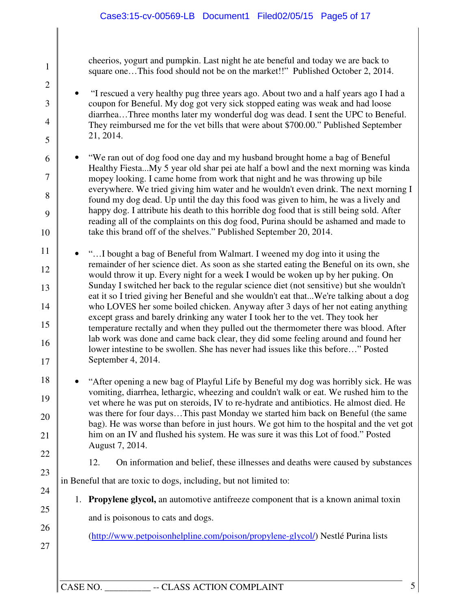cheerios, yogurt and pumpkin. Last night he ate beneful and today we are back to square one...This food should not be on the market!!" Published October 2, 2014.

- "I rescued a very healthy pug three years ago. About two and a half years ago I had a coupon for Beneful. My dog got very sick stopped eating was weak and had loose diarrhea…Three months later my wonderful dog was dead. I sent the UPC to Beneful. They reimbursed me for the vet bills that were about \$700.00." Published September 21, 2014.
- "We ran out of dog food one day and my husband brought home a bag of Beneful Healthy Fiesta...My 5 year old shar pei ate half a bowl and the next morning was kinda mopey looking. I came home from work that night and he was throwing up bile everywhere. We tried giving him water and he wouldn't even drink. The next morning I found my dog dead. Up until the day this food was given to him, he was a lively and happy dog. I attribute his death to this horrible dog food that is still being sold. After reading all of the complaints on this dog food, Purina should be ashamed and made to take this brand off of the shelves." Published September 20, 2014.
- 11 12 13 14 15 16 17 • "…I bought a bag of Beneful from Walmart. I weened my dog into it using the remainder of her science diet. As soon as she started eating the Beneful on its own, she would throw it up. Every night for a week I would be woken up by her puking. On Sunday I switched her back to the regular science diet (not sensitive) but she wouldn't eat it so I tried giving her Beneful and she wouldn't eat that...We're talking about a dog who LOVES her some boiled chicken. Anyway after 3 days of her not eating anything except grass and barely drinking any water I took her to the vet. They took her temperature rectally and when they pulled out the thermometer there was blood. After lab work was done and came back clear, they did some feeling around and found her lower intestine to be swollen. She has never had issues like this before…" Posted September 4, 2014.
- 18 19 20 21 22 • "After opening a new bag of Playful Life by Beneful my dog was horribly sick. He was vomiting, diarrhea, lethargic, wheezing and couldn't walk or eat. We rushed him to the vet where he was put on steroids, IV to re-hydrate and antibiotics. He almost died. He was there for four days…This past Monday we started him back on Beneful (the same bag). He was worse than before in just hours. We got him to the hospital and the vet got him on an IV and flushed his system. He was sure it was this Lot of food." Posted August 7, 2014.
	-

1

2

3

4

5

6

7

8

9

10

23

24

25

26

- 12. On information and belief, these illnesses and deaths were caused by substances
- in Beneful that are toxic to dogs, including, but not limited to:
	- 1. **Propylene glycol,** an automotive antifreeze component that is a known animal toxin
		- and is poisonous to cats and dogs.
			- (http://www.petpoisonhelpline.com/poison/propylene-glycol/) Nestlé Purina lists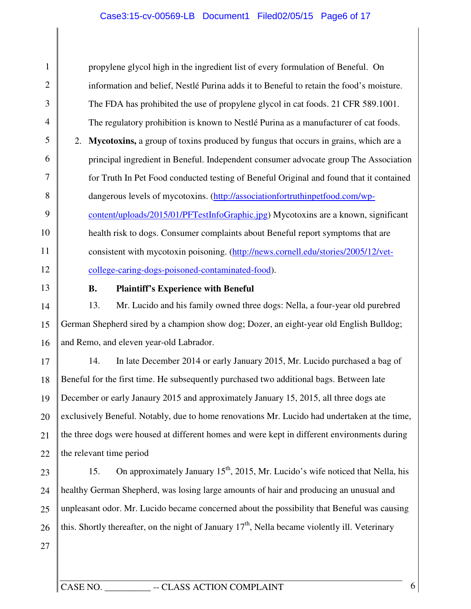### Case3:15-cv-00569-LB Document1 Filed02/05/15 Page6 of 17

propylene glycol high in the ingredient list of every formulation of Beneful. On information and belief, Nestlé Purina adds it to Beneful to retain the food's moisture. The FDA has prohibited the use of propylene glycol in cat foods. 21 CFR 589.1001. The regulatory prohibition is known to Nestlé Purina as a manufacturer of cat foods. 2. **Mycotoxins,** a group of toxins produced by fungus that occurs in grains, which are a principal ingredient in Beneful. Independent consumer advocate group The Association for Truth In Pet Food conducted testing of Beneful Original and found that it contained dangerous levels of mycotoxins. (http://associationfortruthinpetfood.com/wpcontent/uploads/2015/01/PFTestInfoGraphic.jpg) Mycotoxins are a known, significant health risk to dogs. Consumer complaints about Beneful report symptoms that are consistent with mycotoxin poisoning. (http://news.cornell.edu/stories/2005/12/vetcollege-caring-dogs-poisoned-contaminated-food).

13

12

1

2

3

4

5

6

7

8

9

10

11

**B. Plaintiff's Experience with Beneful** 

14 15 16 13. Mr. Lucido and his family owned three dogs: Nella, a four-year old purebred German Shepherd sired by a champion show dog; Dozer, an eight-year old English Bulldog; and Remo, and eleven year-old Labrador.

17 18 19 20 21 22 14. In late December 2014 or early January 2015, Mr. Lucido purchased a bag of Beneful for the first time. He subsequently purchased two additional bags. Between late December or early Janaury 2015 and approximately January 15, 2015, all three dogs ate exclusively Beneful. Notably, due to home renovations Mr. Lucido had undertaken at the time, the three dogs were housed at different homes and were kept in different environments during the relevant time period

23 24 25 26 15. On approximately January  $15<sup>th</sup>$ , 2015, Mr. Lucido's wife noticed that Nella, his healthy German Shepherd, was losing large amounts of hair and producing an unusual and unpleasant odor. Mr. Lucido became concerned about the possibility that Beneful was causing this. Shortly thereafter, on the night of January  $17<sup>th</sup>$ , Nella became violently ill. Veterinary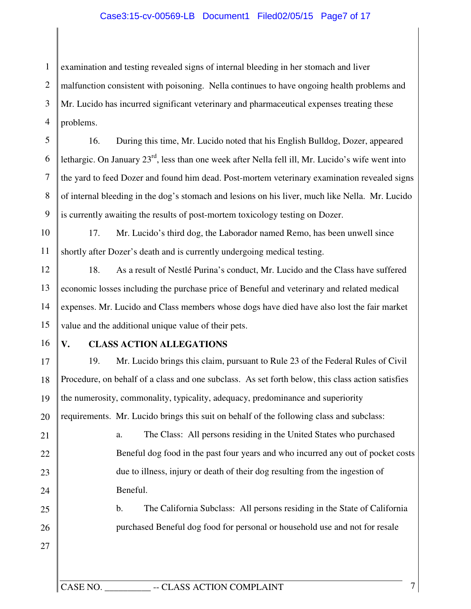### Case3:15-cv-00569-LB Document1 Filed02/05/15 Page7 of 17

1 2 3 4 examination and testing revealed signs of internal bleeding in her stomach and liver malfunction consistent with poisoning. Nella continues to have ongoing health problems and Mr. Lucido has incurred significant veterinary and pharmaceutical expenses treating these problems.

5 6 7 8 9 16. During this time, Mr. Lucido noted that his English Bulldog, Dozer, appeared lethargic. On January  $23^{rd}$ , less than one week after Nella fell ill, Mr. Lucido's wife went into the yard to feed Dozer and found him dead. Post-mortem veterinary examination revealed signs of internal bleeding in the dog's stomach and lesions on his liver, much like Nella. Mr. Lucido is currently awaiting the results of post-mortem toxicology testing on Dozer.

10 11 17. Mr. Lucido's third dog, the Laborador named Remo, has been unwell since shortly after Dozer's death and is currently undergoing medical testing.

12 13 14 15 18. As a result of Nestlé Purina's conduct, Mr. Lucido and the Class have suffered economic losses including the purchase price of Beneful and veterinary and related medical expenses. Mr. Lucido and Class members whose dogs have died have also lost the fair market value and the additional unique value of their pets.

16

21

22

23

24

25

26

27

### **V. CLASS ACTION ALLEGATIONS**

17 18 19 20 19. Mr. Lucido brings this claim, pursuant to Rule 23 of the Federal Rules of Civil Procedure, on behalf of a class and one subclass. As set forth below, this class action satisfies the numerosity, commonality, typicality, adequacy, predominance and superiority requirements. Mr. Lucido brings this suit on behalf of the following class and subclass:

a. The Class: All persons residing in the United States who purchased Beneful dog food in the past four years and who incurred any out of pocket costs due to illness, injury or death of their dog resulting from the ingestion of Beneful.

b. The California Subclass: All persons residing in the State of California purchased Beneful dog food for personal or household use and not for resale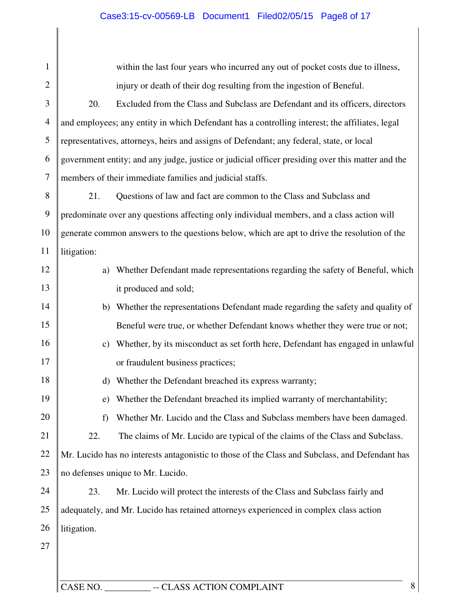# Case3:15-cv-00569-LB Document1 Filed02/05/15 Page8 of 17

| 1              |              | within the last four years who incurred any out of pocket costs due to illness,                  |
|----------------|--------------|--------------------------------------------------------------------------------------------------|
| $\overline{2}$ |              | injury or death of their dog resulting from the ingestion of Beneful.                            |
| 3              | 20.          | Excluded from the Class and Subclass are Defendant and its officers, directors                   |
| $\overline{4}$ |              | and employees; any entity in which Defendant has a controlling interest; the affiliates, legal   |
| 5              |              | representatives, attorneys, heirs and assigns of Defendant; any federal, state, or local         |
| 6              |              | government entity; and any judge, justice or judicial officer presiding over this matter and the |
| 7              |              | members of their immediate families and judicial staffs.                                         |
| 8              | 21.          | Questions of law and fact are common to the Class and Subclass and                               |
| 9              |              | predominate over any questions affecting only individual members, and a class action will        |
| 10             |              | generate common answers to the questions below, which are apt to drive the resolution of the     |
| 11             | litigation:  |                                                                                                  |
| 12             | a)           | Whether Defendant made representations regarding the safety of Beneful, which                    |
| 13             |              | it produced and sold;                                                                            |
| 14             | b)           | Whether the representations Defendant made regarding the safety and quality of                   |
| 15             |              | Beneful were true, or whether Defendant knows whether they were true or not;                     |
| 16             | $\mathbf{c}$ | Whether, by its misconduct as set forth here, Defendant has engaged in unlawful                  |
| 17             |              | or fraudulent business practices;                                                                |
| 18             | $\mathbf{d}$ | Whether the Defendant breached its express warranty;                                             |
| 19             |              | e) Whether the Defendant breached its implied warranty of merchantability;                       |
| 20             | f            | Whether Mr. Lucido and the Class and Subclass members have been damaged.                         |
| 21             | 22.          | The claims of Mr. Lucido are typical of the claims of the Class and Subclass.                    |
| 22             |              | Mr. Lucido has no interests antagonistic to those of the Class and Subclass, and Defendant has   |
| 23             |              | no defenses unique to Mr. Lucido.                                                                |
| 24             | 23.          | Mr. Lucido will protect the interests of the Class and Subclass fairly and                       |
| 25             |              | adequately, and Mr. Lucido has retained attorneys experienced in complex class action            |
| 26             | litigation.  |                                                                                                  |
| 27             |              |                                                                                                  |
|                |              |                                                                                                  |
|                |              |                                                                                                  |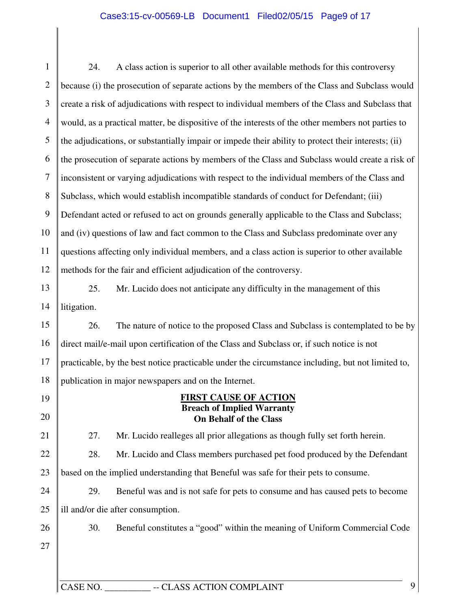### Case3:15-cv-00569-LB Document1 Filed02/05/15 Page9 of 17

1 2 3 4 5 6 7 8 9 10 11 12 13 14 15 16 17 18 19 24. A class action is superior to all other available methods for this controversy because (i) the prosecution of separate actions by the members of the Class and Subclass would create a risk of adjudications with respect to individual members of the Class and Subclass that would, as a practical matter, be dispositive of the interests of the other members not parties to the adjudications, or substantially impair or impede their ability to protect their interests; (ii) the prosecution of separate actions by members of the Class and Subclass would create a risk of inconsistent or varying adjudications with respect to the individual members of the Class and Subclass, which would establish incompatible standards of conduct for Defendant; (iii) Defendant acted or refused to act on grounds generally applicable to the Class and Subclass; and (iv) questions of law and fact common to the Class and Subclass predominate over any questions affecting only individual members, and a class action is superior to other available methods for the fair and efficient adjudication of the controversy. 25. Mr. Lucido does not anticipate any difficulty in the management of this litigation. 26. The nature of notice to the proposed Class and Subclass is contemplated to be by direct mail/e-mail upon certification of the Class and Subclass or, if such notice is not practicable, by the best notice practicable under the circumstance including, but not limited to, publication in major newspapers and on the Internet. **FIRST CAUSE OF ACTION Breach of Implied Warranty** 

# **On Behalf of the Class**

27. Mr. Lucido realleges all prior allegations as though fully set forth herein.

22 23 28. Mr. Lucido and Class members purchased pet food produced by the Defendant based on the implied understanding that Beneful was safe for their pets to consume.

24 25 29. Beneful was and is not safe for pets to consume and has caused pets to become ill and/or die after consumption.

26 27 30. Beneful constitutes a "good" within the meaning of Uniform Commercial Code

CASE NO. \_\_\_\_\_\_\_\_\_\_ -- CLASS ACTION COMPLAINT 9

20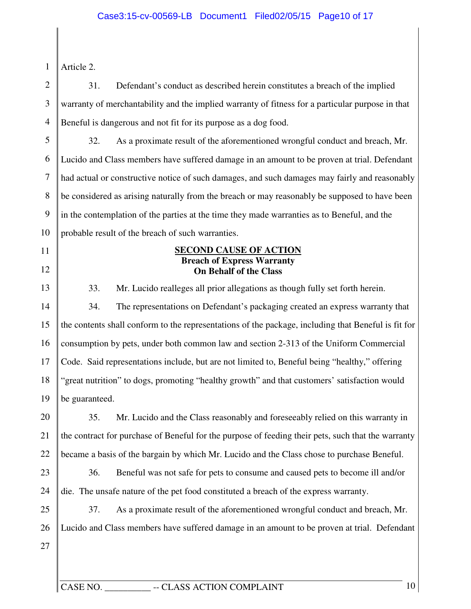### Case3:15-cv-00569-LB Document1 Filed02/05/15 Page10 of 17

1 Article 2.

11

12

2 3 4 31. Defendant's conduct as described herein constitutes a breach of the implied warranty of merchantability and the implied warranty of fitness for a particular purpose in that Beneful is dangerous and not fit for its purpose as a dog food.

5 6 7 8 9 10 32. As a proximate result of the aforementioned wrongful conduct and breach, Mr. Lucido and Class members have suffered damage in an amount to be proven at trial. Defendant had actual or constructive notice of such damages, and such damages may fairly and reasonably be considered as arising naturally from the breach or may reasonably be supposed to have been in the contemplation of the parties at the time they made warranties as to Beneful, and the probable result of the breach of such warranties.

### **SECOND CAUSE OF ACTION Breach of Express Warranty On Behalf of the Class**

13 14 15 16 17 18 19 33. Mr. Lucido realleges all prior allegations as though fully set forth herein. 34. The representations on Defendant's packaging created an express warranty that the contents shall conform to the representations of the package, including that Beneful is fit for consumption by pets, under both common law and section 2-313 of the Uniform Commercial Code. Said representations include, but are not limited to, Beneful being "healthy," offering "great nutrition" to dogs, promoting "healthy growth" and that customers' satisfaction would be guaranteed.

20 21 22 35. Mr. Lucido and the Class reasonably and foreseeably relied on this warranty in the contract for purchase of Beneful for the purpose of feeding their pets, such that the warranty became a basis of the bargain by which Mr. Lucido and the Class chose to purchase Beneful.

23 24 36. Beneful was not safe for pets to consume and caused pets to become ill and/or die. The unsafe nature of the pet food constituted a breach of the express warranty.

25 26 27 37. As a proximate result of the aforementioned wrongful conduct and breach, Mr. Lucido and Class members have suffered damage in an amount to be proven at trial. Defendant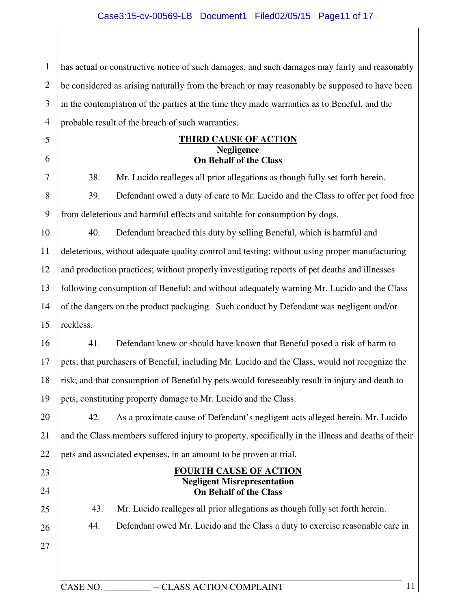### Case3:15-cv-00569-LB Document1 Filed02/05/15 Page11 of 17

|    | has actual or constructive notice of such damages, and such damages may fairly and reasonably        |
|----|------------------------------------------------------------------------------------------------------|
|    | be considered as arising naturally from the breach or may reasonably be supposed to have been        |
|    | in the contemplation of the parties at the time they made warranties as to Beneful, and the          |
|    | probable result of the breach of such warranties.                                                    |
|    | <b>THIRD CAUSE OF ACTION</b>                                                                         |
|    | <b>Negligence</b><br><b>On Behalf of the Class</b>                                                   |
|    | 38.<br>Mr. Lucido realleges all prior allegations as though fully set forth herein.                  |
|    | Defendant owed a duty of care to Mr. Lucido and the Class to offer pet food free<br>39.              |
|    | from deleterious and harmful effects and suitable for consumption by dogs.                           |
|    | 40.<br>Defendant breached this duty by selling Beneful, which is harmful and                         |
|    | deleterious, without adequate quality control and testing; without using proper manufacturing        |
|    | and production practices; without properly investigating reports of pet deaths and illnesses         |
|    | following consumption of Beneful; and without adequately warning Mr. Lucido and the Class            |
|    | of the dangers on the product packaging. Such conduct by Defendant was negligent and/or              |
|    | reckless.                                                                                            |
|    | Defendant knew or should have known that Beneful posed a risk of harm to<br>41.                      |
|    | pets; that purchasers of Beneful, including Mr. Lucido and the Class, would not recognize the        |
|    | risk; and that consumption of Beneful by pets would foreseeably result in injury and death to        |
| 19 | pets, constituting property damage to Mr. Lucido and the Class.                                      |
|    | As a proximate cause of Defendant's negligent acts alleged herein, Mr. Lucido<br>42.                 |
|    | and the Class members suffered injury to property, specifically in the illness and deaths of their   |
|    | pets and associated expenses, in an amount to be proven at trial.                                    |
|    | <b>FOURTH CAUSE OF ACTION</b><br><b>Negligent Misrepresentation</b><br><b>On Behalf of the Class</b> |
|    | 43.<br>Mr. Lucido realleges all prior allegations as though fully set forth herein.                  |
|    | 44.<br>Defendant owed Mr. Lucido and the Class a duty to exercise reasonable care in                 |
|    |                                                                                                      |
|    | 11<br>CASE NO.<br>-- CLASS ACTION COMPLAINT                                                          |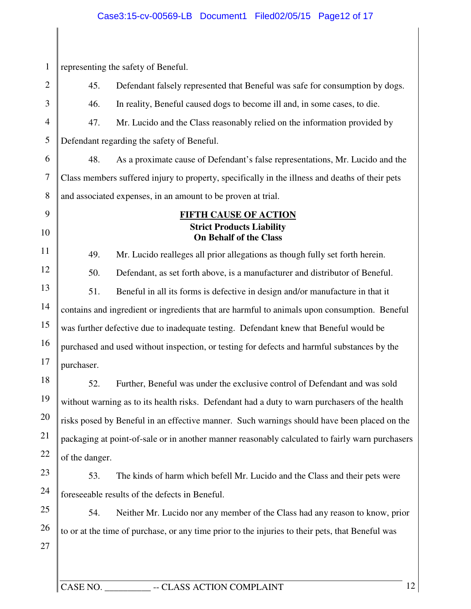# Case3:15-cv-00569-LB Document1 Filed02/05/15 Page12 of 17

| $\mathbf{1}$   |                | representing the safety of Beneful.                                                              |
|----------------|----------------|--------------------------------------------------------------------------------------------------|
| $\overline{2}$ | 45.            | Defendant falsely represented that Beneful was safe for consumption by dogs.                     |
| 3              | 46.            | In reality, Beneful caused dogs to become ill and, in some cases, to die.                        |
| $\overline{4}$ | 47.            | Mr. Lucido and the Class reasonably relied on the information provided by                        |
| 5              |                | Defendant regarding the safety of Beneful.                                                       |
| 6              | 48.            | As a proximate cause of Defendant's false representations, Mr. Lucido and the                    |
| $\tau$         |                | Class members suffered injury to property, specifically in the illness and deaths of their pets  |
| 8              |                | and associated expenses, in an amount to be proven at trial.                                     |
| 9              |                | <b>FIFTH CAUSE OF ACTION</b>                                                                     |
| 10             |                | <b>Strict Products Liability</b><br><b>On Behalf of the Class</b>                                |
| 11             | 49.            | Mr. Lucido realleges all prior allegations as though fully set forth herein.                     |
| 12             | 50.            | Defendant, as set forth above, is a manufacturer and distributor of Beneful.                     |
| 13             | 51.            | Beneful in all its forms is defective in design and/or manufacture in that it                    |
| 14             |                | contains and ingredient or ingredients that are harmful to animals upon consumption. Beneful     |
| 15             |                | was further defective due to inadequate testing. Defendant knew that Beneful would be            |
| 16             |                | purchased and used without inspection, or testing for defects and harmful substances by the      |
| 17             | purchaser.     |                                                                                                  |
| 18             | 52.            | Further, Beneful was under the exclusive control of Defendant and was sold                       |
| 19             |                | without warning as to its health risks. Defendant had a duty to warn purchasers of the health    |
| 20             |                | risks posed by Beneful in an effective manner. Such warnings should have been placed on the      |
| 21             |                | packaging at point-of-sale or in another manner reasonably calculated to fairly warn purchasers  |
| 22             | of the danger. |                                                                                                  |
| 23             | 53.            | The kinds of harm which befell Mr. Lucido and the Class and their pets were                      |
| 24             |                | foreseeable results of the defects in Beneful.                                                   |
| 25             | 54.            | Neither Mr. Lucido nor any member of the Class had any reason to know, prior                     |
| 26             |                | to or at the time of purchase, or any time prior to the injuries to their pets, that Beneful was |
| 27             |                |                                                                                                  |
|                |                |                                                                                                  |
|                | CASE NO.       | 12<br>-- CLASS ACTION COMPLAINT                                                                  |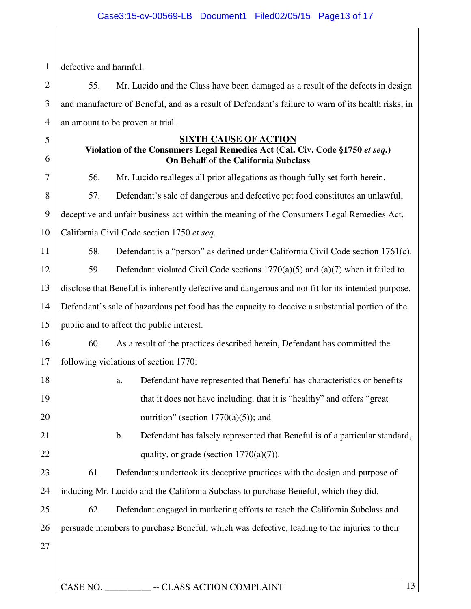1 defective and harmful.

5

6

7

8

2 3 4 55. Mr. Lucido and the Class have been damaged as a result of the defects in design and manufacture of Beneful, and as a result of Defendant's failure to warn of its health risks, in an amount to be proven at trial.

### **SIXTH CAUSE OF ACTION**

### **Violation of the Consumers Legal Remedies Act (Cal. Civ. Code §1750** *et seq.***) On Behalf of the California Subclass**

56. Mr. Lucido realleges all prior allegations as though fully set forth herein.

57. Defendant's sale of dangerous and defective pet food constitutes an unlawful,

9 deceptive and unfair business act within the meaning of the Consumers Legal Remedies Act,

10 California Civil Code section 1750 *et seq*.

11 58. Defendant is a "person" as defined under California Civil Code section 1761(c).

12 13 59. Defendant violated Civil Code sections 1770(a)(5) and (a)(7) when it failed to disclose that Beneful is inherently defective and dangerous and not fit for its intended purpose.

14 15 Defendant's sale of hazardous pet food has the capacity to deceive a substantial portion of the public and to affect the public interest.

16 17 60. As a result of the practices described herein, Defendant has committed the following violations of section 1770:

18 19 20 a. Defendant have represented that Beneful has characteristics or benefits that it does not have including. that it is "healthy" and offers "great nutrition" (section  $1770(a)(5)$ ); and

b. Defendant has falsely represented that Beneful is of a particular standard, quality, or grade (section  $1770(a)(7)$ ).

23 24 61. Defendants undertook its deceptive practices with the design and purpose of inducing Mr. Lucido and the California Subclass to purchase Beneful, which they did.

25 26 62. Defendant engaged in marketing efforts to reach the California Subclass and persuade members to purchase Beneful, which was defective, leading to the injuries to their

27

21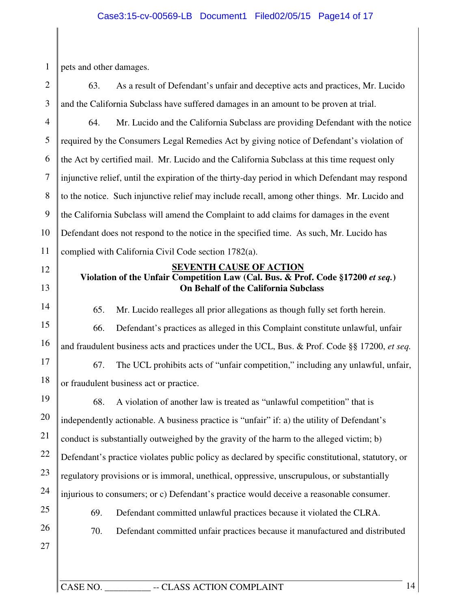#### Case3:15-cv-00569-LB Document1 Filed02/05/15 Page14 of 17

1 pets and other damages.

2 3 63. As a result of Defendant's unfair and deceptive acts and practices, Mr. Lucido and the California Subclass have suffered damages in an amount to be proven at trial.

4 5 6 7 8 9 10 11 64. Mr. Lucido and the California Subclass are providing Defendant with the notice required by the Consumers Legal Remedies Act by giving notice of Defendant's violation of the Act by certified mail. Mr. Lucido and the California Subclass at this time request only injunctive relief, until the expiration of the thirty-day period in which Defendant may respond to the notice. Such injunctive relief may include recall, among other things. Mr. Lucido and the California Subclass will amend the Complaint to add claims for damages in the event Defendant does not respond to the notice in the specified time. As such, Mr. Lucido has complied with California Civil Code section 1782(a).

12

13

14

15

#### **SEVENTH CAUSE OF ACTION Violation of the Unfair Competition Law (Cal. Bus. & Prof. Code §17200** *et seq.***) On Behalf of the California Subclass**

- 65. Mr. Lucido realleges all prior allegations as though fully set forth herein.
- 66. Defendant's practices as alleged in this Complaint constitute unlawful, unfair

16 and fraudulent business acts and practices under the UCL, Bus. & Prof. Code §§ 17200, *et seq.*

17 18 67. The UCL prohibits acts of "unfair competition," including any unlawful, unfair, or fraudulent business act or practice.

19 20 21 22 23 24 25 68. A violation of another law is treated as "unlawful competition" that is independently actionable. A business practice is "unfair" if: a) the utility of Defendant's conduct is substantially outweighed by the gravity of the harm to the alleged victim; b) Defendant's practice violates public policy as declared by specific constitutional, statutory, or regulatory provisions or is immoral, unethical, oppressive, unscrupulous, or substantially injurious to consumers; or c) Defendant's practice would deceive a reasonable consumer.

- 
- 26 27

69. Defendant committed unlawful practices because it violated the CLRA.

- 70. Defendant committed unfair practices because it manufactured and distributed
-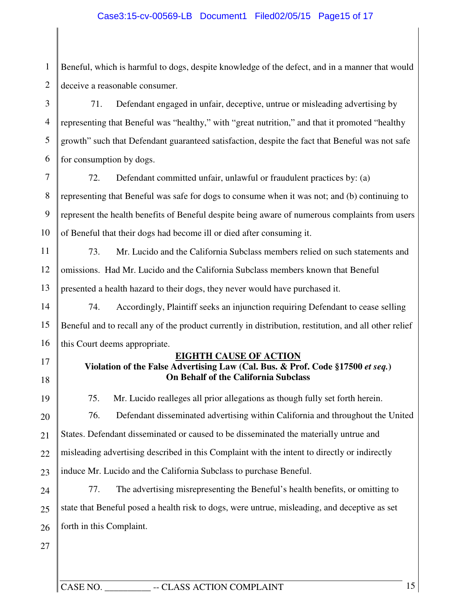### Case3:15-cv-00569-LB Document1 Filed02/05/15 Page15 of 17

1 2 Beneful, which is harmful to dogs, despite knowledge of the defect, and in a manner that would deceive a reasonable consumer.

3 4 5 6 71. Defendant engaged in unfair, deceptive, untrue or misleading advertising by representing that Beneful was "healthy," with "great nutrition," and that it promoted "healthy growth" such that Defendant guaranteed satisfaction, despite the fact that Beneful was not safe for consumption by dogs.

7 8 9 10 72. Defendant committed unfair, unlawful or fraudulent practices by: (a) representing that Beneful was safe for dogs to consume when it was not; and (b) continuing to represent the health benefits of Beneful despite being aware of numerous complaints from users of Beneful that their dogs had become ill or died after consuming it.

11 12 13 73. Mr. Lucido and the California Subclass members relied on such statements and omissions. Had Mr. Lucido and the California Subclass members known that Beneful presented a health hazard to their dogs, they never would have purchased it.

14 15 16 74. Accordingly, Plaintiff seeks an injunction requiring Defendant to cease selling Beneful and to recall any of the product currently in distribution, restitution, and all other relief this Court deems appropriate.

17

18

**EIGHTH CAUSE OF ACTION** 

### **Violation of the False Advertising Law (Cal. Bus. & Prof. Code §17500** *et seq.***) On Behalf of the California Subclass**

19 20 21 22 23 24 75. Mr. Lucido realleges all prior allegations as though fully set forth herein. 76. Defendant disseminated advertising within California and throughout the United States. Defendant disseminated or caused to be disseminated the materially untrue and misleading advertising described in this Complaint with the intent to directly or indirectly induce Mr. Lucido and the California Subclass to purchase Beneful. 77. The advertising misrepresenting the Beneful's health benefits, or omitting to

25 26 state that Beneful posed a health risk to dogs, were untrue, misleading, and deceptive as set forth in this Complaint.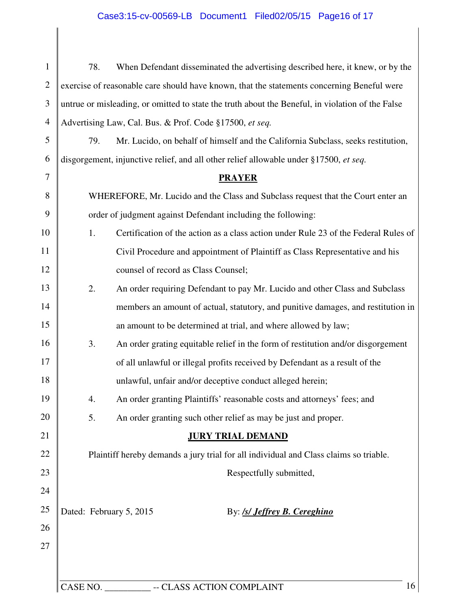# Case3:15-cv-00569-LB Document1 Filed02/05/15 Page16 of 17

| $\mathbf{1}$   | 78.      | When Defendant disseminated the advertising described here, it knew, or by the                   |
|----------------|----------|--------------------------------------------------------------------------------------------------|
| $\overline{2}$ |          | exercise of reasonable care should have known, that the statements concerning Beneful were       |
| $\mathfrak{Z}$ |          | untrue or misleading, or omitted to state the truth about the Beneful, in violation of the False |
| $\overline{4}$ |          | Advertising Law, Cal. Bus. & Prof. Code §17500, et seq.                                          |
| $\mathfrak{S}$ | 79.      | Mr. Lucido, on behalf of himself and the California Subclass, seeks restitution,                 |
| 6              |          | disgorgement, injunctive relief, and all other relief allowable under §17500, et seq.            |
| $\overline{7}$ |          | <b>PRAYER</b>                                                                                    |
| 8              |          | WHEREFORE, Mr. Lucido and the Class and Subclass request that the Court enter an                 |
| 9              |          | order of judgment against Defendant including the following:                                     |
| 10             | 1.       | Certification of the action as a class action under Rule 23 of the Federal Rules of              |
| 11             |          | Civil Procedure and appointment of Plaintiff as Class Representative and his                     |
| 12             |          | counsel of record as Class Counsel;                                                              |
| 13             | 2.       | An order requiring Defendant to pay Mr. Lucido and other Class and Subclass                      |
| 14             |          | members an amount of actual, statutory, and punitive damages, and restitution in                 |
| 15             |          | an amount to be determined at trial, and where allowed by law;                                   |
| 16             | 3.       | An order grating equitable relief in the form of restitution and/or disgorgement                 |
| 17             |          | of all unlawful or illegal profits received by Defendant as a result of the                      |
| 18             |          | unlawful, unfair and/or deceptive conduct alleged herein;                                        |
| 19             | 4.       | An order granting Plaintiffs' reasonable costs and attorneys' fees; and                          |
| 20             | 5.       | An order granting such other relief as may be just and proper.                                   |
| 21             |          | <b>JURY TRIAL DEMAND</b>                                                                         |
| 22             |          | Plaintiff hereby demands a jury trial for all individual and Class claims so triable.            |
| 23             |          | Respectfully submitted,                                                                          |
| 24             |          |                                                                                                  |
| 25             |          | Dated: February 5, 2015<br>By: <b>/s/ Jeffrey B. Cereghino</b>                                   |
| 26             |          |                                                                                                  |
| 27             |          |                                                                                                  |
|                |          |                                                                                                  |
|                | CASE NO. | -- CLASS ACTION COMPLAINT<br>16                                                                  |